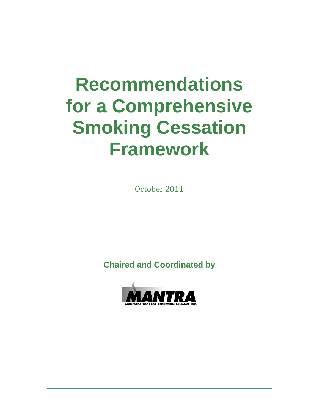# **Recommendations for a Comprehensive Smoking Cessation Framework**

October 2011

**Chaired and Coordinated by** 

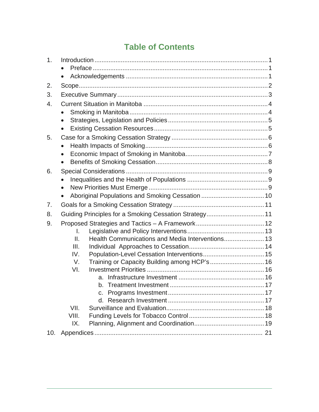# **Table of Contents**

| 1.  |           |                                                        |  |
|-----|-----------|--------------------------------------------------------|--|
|     |           |                                                        |  |
|     | $\bullet$ |                                                        |  |
| 2.  |           |                                                        |  |
| 3.  |           |                                                        |  |
| 4.  |           |                                                        |  |
|     |           |                                                        |  |
|     |           |                                                        |  |
|     |           |                                                        |  |
| 5.  |           |                                                        |  |
|     |           |                                                        |  |
|     | $\bullet$ |                                                        |  |
|     | $\bullet$ |                                                        |  |
| 6.  |           |                                                        |  |
|     | $\bullet$ |                                                        |  |
|     |           |                                                        |  |
|     |           |                                                        |  |
| 7.  |           |                                                        |  |
| 8.  |           | Guiding Principles for a Smoking Cessation Strategy 11 |  |
| 9.  |           |                                                        |  |
|     | I.        |                                                        |  |
|     | II.       |                                                        |  |
|     | III.      |                                                        |  |
|     | IV.       |                                                        |  |
|     | V.<br>VI. |                                                        |  |
|     |           | a.                                                     |  |
|     |           |                                                        |  |
|     |           |                                                        |  |
|     |           |                                                        |  |
|     | VII.      |                                                        |  |
|     | VIII.     |                                                        |  |
|     | IX.       |                                                        |  |
| 10. |           |                                                        |  |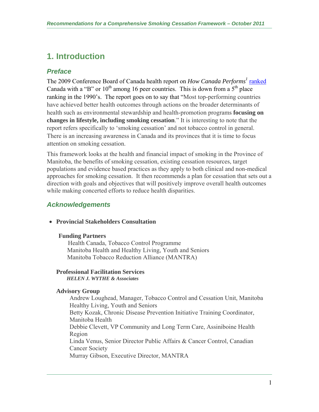# **1. Introduction**

## *Preface*

The 2009 Conference Board of Canada health report on *How Canada Performs<sup>1</sup>* ranked Canada with a "B" or  $10<sup>th</sup>$  among 16 peer countries. This is down from a  $5<sup>th</sup>$  place ranking in the 1990's. The report goes on to say that "Most top-performing countries have achieved better health outcomes through actions on the broader determinants of health such as environmental stewardship and health-promotion programs **focusing on changes in lifestyle, including smoking cessation**." It is interesting to note that the report refers specifically to 'smoking cessation' and not tobacco control in general. There is an increasing awareness in Canada and its provinces that it is time to focus attention on smoking cessation.

This framework looks at the health and financial impact of smoking in the Province of Manitoba, the benefits of smoking cessation, existing cessation resources, target populations and evidence based practices as they apply to both clinical and non-medical approaches for smoking cessation. It then recommends a plan for cessation that sets out a direction with goals and objectives that will positively improve overall health outcomes while making concerted efforts to reduce health disparities.

## *Acknowledgements*

#### **Provincial Stakeholders Consultation**

#### **Funding Partners**

 Health Canada, Tobacco Control Programme Manitoba Health and Healthy Living, Youth and Seniors Manitoba Tobacco Reduction Alliance (MANTRA)

## **Professional Facilitation Services**

 *HELEN J. WYTHE & Associates* 

#### **Advisory Group**

Andrew Loughead, Manager, Tobacco Control and Cessation Unit, Manitoba Healthy Living, Youth and Seniors Betty Kozak, Chronic Disease Prevention Initiative Training Coordinator, Manitoba Health Debbie Clevett, VP Community and Long Term Care, Assiniboine Health Region Linda Venus, Senior Director Public Affairs & Cancer Control, Canadian Cancer Society Murray Gibson, Executive Director, MANTRA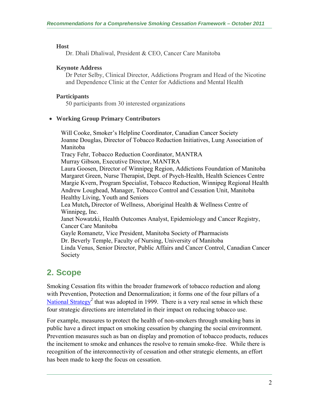#### **Host**

Dr. Dhali Dhaliwal, President & CEO, Cancer Care Manitoba

#### **Keynote Address**

Dr Peter Selby, Clinical Director, Addictions Program and Head of the Nicotine and Dependence Clinic at the Center for Addictions and Mental Health

#### **Participants**

50 participants from 30 interested organizations

#### **Working Group Primary Contributors**

Will Cooke, Smoker's Helpline Coordinator, Canadian Cancer Society Joanne Douglas, Director of Tobacco Reduction Initiatives, Lung Association of Manitoba Tracy Fehr, Tobacco Reduction Coordinator, MANTRA Murray Gibson, Executive Director, MANTRA Laura Goosen, Director of Winnipeg Region, Addictions Foundation of Manitoba Margaret Green, Nurse Therapist, Dept. of Psych-Health, Health Sciences Centre Margie Kvern, Program Specialist, Tobacco Reduction, Winnipeg Regional Health Andrew Loughead, Manager, Tobacco Control and Cessation Unit, Manitoba Healthy Living, Youth and Seniors Lea Mutch**,** Director of Wellness, Aboriginal Health & Wellness Centre of Winnipeg, Inc. Janet Nowatzki, Health Outcomes Analyst, Epidemiology and Cancer Registry, Cancer Care Manitoba Gayle Romanetz, Vice President, Manitoba Society of Pharmacists Dr. Beverly Temple, Faculty of Nursing, University of Manitoba Linda Venus, Senior Director, Public Affairs and Cancer Control, Canadian Cancer Society

# **2. Scope**

Smoking Cessation fits within the broader framework of tobacco reduction and along with Prevention, Protection and Denormalization; it forms one of the four pillars of a National Strategy<sup>2</sup> that was adopted in 1999. There is a very real sense in which these four strategic directions are interrelated in their impact on reducing tobacco use.

For example, measures to protect the health of non-smokers through smoking bans in public have a direct impact on smoking cessation by changing the social environment. Prevention measures such as ban on display and promotion of tobacco products, reduces the incitement to smoke and enhances the resolve to remain smoke-free. While there is recognition of the interconnectivity of cessation and other strategic elements, an effort has been made to keep the focus on cessation.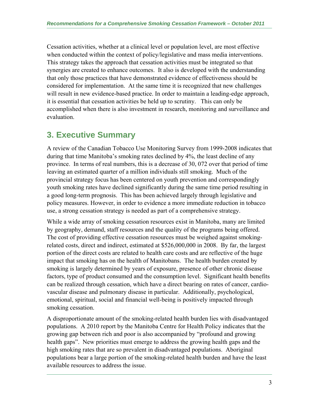Cessation activities, whether at a clinical level or population level, are most effective when conducted within the context of policy/legislative and mass media interventions. This strategy takes the approach that cessation activities must be integrated so that synergies are created to enhance outcomes. It also is developed with the understanding that only those practices that have demonstrated evidence of effectiveness should be considered for implementation. At the same time it is recognized that new challenges will result in new evidence-based practice. In order to maintain a leading-edge approach, it is essential that cessation activities be held up to scrutiny. This can only be accomplished when there is also investment in research, monitoring and surveillance and evaluation.

## **3. Executive Summary**

A review of the Canadian Tobacco Use Monitoring Survey from 1999-2008 indicates that during that time Manitoba's smoking rates declined by 4%, the least decline of any province. In terms of real numbers, this is a decrease of 30, 072 over that period of time leaving an estimated quarter of a million individuals still smoking. Much of the provincial strategy focus has been centered on youth prevention and correspondingly youth smoking rates have declined significantly during the same time period resulting in a good long-term prognosis. This has been achieved largely through legislative and policy measures. However, in order to evidence a more immediate reduction in tobacco use, a strong cessation strategy is needed as part of a comprehensive strategy.

While a wide array of smoking cessation resources exist in Manitoba, many are limited by geography, demand, staff resources and the quality of the programs being offered. The cost of providing effective cessation resources must be weighed against smokingrelated costs, direct and indirect, estimated at \$526,000,000 in 2008. By far, the largest portion of the direct costs are related to health care costs and are reflective of the huge impact that smoking has on the health of Manitobans. The health burden created by smoking is largely determined by years of exposure, presence of other chronic disease factors, type of product consumed and the consumption level. Significant health benefits can be realized through cessation, which have a direct bearing on rates of cancer, cardiovascular disease and pulmonary disease in particular. Additionally, psychological, emotional, spiritual, social and financial well-being is positively impacted through smoking cessation.

A disproportionate amount of the smoking-related health burden lies with disadvantaged populations. A 2010 report by the Manitoba Centre for Health Policy indicates that the growing gap between rich and poor is also accompanied by "profound and growing health gaps". New priorities must emerge to address the growing health gaps and the high smoking rates that are so prevalent in disadvantaged populations. Aboriginal populations bear a large portion of the smoking-related health burden and have the least available resources to address the issue.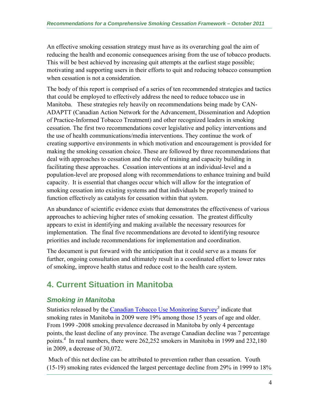An effective smoking cessation strategy must have as its overarching goal the aim of reducing the health and economic consequences arising from the use of tobacco products. This will be best achieved by increasing quit attempts at the earliest stage possible; motivating and supporting users in their efforts to quit and reducing tobacco consumption when cessation is not a consideration.

The body of this report is comprised of a series of ten recommended strategies and tactics that could be employed to effectively address the need to reduce tobacco use in Manitoba. These strategies rely heavily on recommendations being made by CAN-ADAPTT (Canadian Action Network for the Advancement, Dissemination and Adoption of Practice-Informed Tobacco Treatment) and other recognized leaders in smoking cessation. The first two recommendations cover legislative and policy interventions and the use of health communications/media interventions. They continue the work of creating supportive environments in which motivation and encouragement is provided for making the smoking cessation choice. These are followed by three recommendations that deal with approaches to cessation and the role of training and capacity building in facilitating these approaches. Cessation interventions at an individual-level and a population-level are proposed along with recommendations to enhance training and build capacity. It is essential that changes occur which will allow for the integration of smoking cessation into existing systems and that individuals be properly trained to function effectively as catalysts for cessation within that system.

An abundance of scientific evidence exists that demonstrates the effectiveness of various approaches to achieving higher rates of smoking cessation. The greatest difficulty appears to exist in identifying and making available the necessary resources for implementation. The final five recommendations are devoted to identifying resource priorities and include recommendations for implementation and coordination.

The document is put forward with the anticipation that it could serve as a means for further, ongoing consultation and ultimately result in a coordinated effort to lower rates of smoking, improve health status and reduce cost to the health care system.

# **4. Current Situation in Manitoba**

## *Smoking in Manitoba*

Statistics released by the Canadian Tobacco Use Monitoring Survey<sup>3</sup> indicate that smoking rates in Manitoba in 2009 were 19% among those 15 years of age and older. From 1999 -2008 smoking prevalence decreased in Manitoba by only 4 percentage points, the least decline of any province. The average Canadian decline was 7 percentage points.*<sup>4</sup>* In real numbers, there were 262,252 smokers in Manitoba in 1999 and 232,180 in 2009, a decrease of 30,072.

 Much of this net decline can be attributed to prevention rather than cessation. Youth (15-19) smoking rates evidenced the largest percentage decline from 29% in 1999 to 18%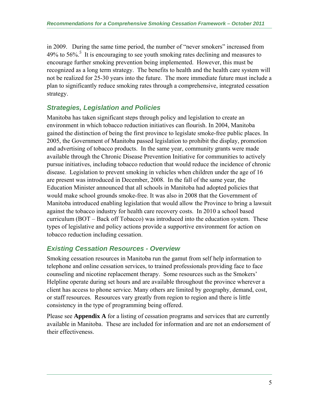in 2009. During the same time period, the number of "never smokers" increased from 49% to 56%.*<sup>5</sup>* It is encouraging to see youth smoking rates declining and measures to encourage further smoking prevention being implemented. However, this must be recognized as a long term strategy. The benefits to health and the health care system will not be realized for 25-30 years into the future. The more immediate future must include a plan to significantly reduce smoking rates through a comprehensive, integrated cessation strategy.

## *Strategies, Legislation and Policies*

Manitoba has taken significant steps through policy and legislation to create an environment in which tobacco reduction initiatives can flourish. In 2004, Manitoba gained the distinction of being the first province to legislate smoke-free public places. In 2005, the Government of Manitoba passed legislation to prohibit the display, promotion and advertising of tobacco products. In the same year, community grants were made available through the Chronic Disease Prevention Initiative for communities to actively pursue initiatives, including tobacco reduction that would reduce the incidence of chronic disease. Legislation to prevent smoking in vehicles when children under the age of 16 are present was introduced in December, 2008. In the fall of the same year, the Education Minister announced that all schools in Manitoba had adopted policies that would make school grounds smoke-free. It was also in 2008 that the Government of Manitoba introduced enabling legislation that would allow the Province to bring a lawsuit against the tobacco industry for health care recovery costs. In 2010 a school based curriculum (BOT – Back off Tobacco) was introduced into the education system. These types of legislative and policy actions provide a supportive environment for action on tobacco reduction including cessation.

## *Existing Cessation Resources - Overview*

Smoking cessation resources in Manitoba run the gamut from self help information to telephone and online cessation services, to trained professionals providing face to face counseling and nicotine replacement therapy. Some resources such as the Smokers' Helpline operate during set hours and are available throughout the province wherever a client has access to phone service. Many others are limited by geography, demand, cost, or staff resources. Resources vary greatly from region to region and there is little consistency in the type of programming being offered.

Please see **Appendix A** for a listing of cessation programs and services that are currently available in Manitoba. These are included for information and are not an endorsement of their effectiveness.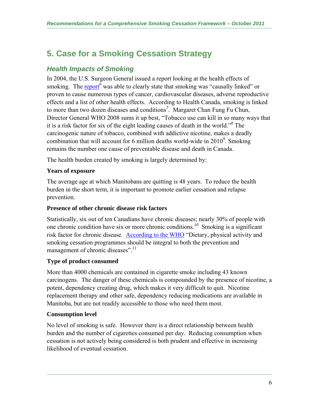# **5. Case for a Smoking Cessation Strategy**

## *Health Impacts of Smoking*

In 2004, the U.S. Surgeon General issued a report looking at the health effects of smoking. The **report**<sup>6</sup> was able to clearly state that smoking was "causally linked" or proven to cause numerous types of cancer, cardiovascular diseases, adverse reproductive effects and a list of other health effects. According to Health Canada, smoking is linked to more than two dozen diseases and conditions*<sup>7</sup>* . Margaret Chan Fung Fu Chun, Director General WHO 2008 sums it up best, "Tobacco use can kill in so many ways that it is a risk factor for six of the eight leading causes of death in the world."*<sup>8</sup>* The carcinogenic nature of tobacco, combined with addictive nicotine, makes a deadly combination that will account for 6 million deaths world-wide in 2010*<sup>9</sup>* . Smoking remains the number one cause of preventable disease and death in Canada.

The health burden created by smoking is largely determined by:

#### **Years of exposure**

The average age at which Manitobans are quitting is 48 years. To reduce the health burden in the short term, it is important to promote earlier cessation and relapse prevention.

#### **Presence of other chronic disease risk factors**

Statistically, six out of ten Canadians have chronic diseases; nearly 30% of people with one chronic condition have six or more chronic conditions.*<sup>10</sup>* Smoking is a significant risk factor for chronic disease. According to the WHO "Dietary, physical activity and smoking cessation programmes should be integral to both the prevention and management of chronic diseases".*<sup>11</sup>*

## **Type of product consumed**

More than 4000 chemicals are contained in cigarette smoke including 43 known carcinogens. The danger of these chemicals is compounded by the presence of nicotine, a potent, dependency creating drug, which makes it very difficult to quit. Nicotine replacement therapy and other safe, dependency reducing medications are available in Manitoba, but are not readily accessible to those who need them most.

#### **Consumption level**

No level of smoking is safe. However there is a direct relationship between health burden and the number of cigarettes consumed per day. Reducing consumption when cessation is not actively being considered is both prudent and effective in increasing likelihood of eventual cessation.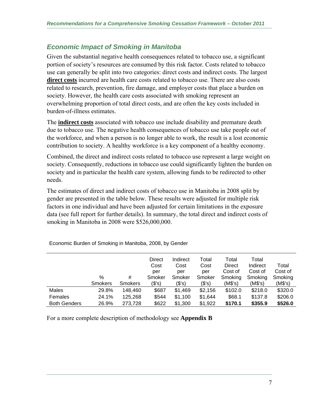## *Economic Impact of Smoking in Manitoba*

Given the substantial negative health consequences related to tobacco use, a significant portion of society's resources are consumed by this risk factor. Costs related to tobacco use can generally be split into two categories: direct costs and indirect costs. The largest **direct costs** incurred are health care costs related to tobacco use. There are also costs related to research, prevention, fire damage, and employer costs that place a burden on society. However, the health care costs associated with smoking represent an overwhelming proportion of total direct costs, and are often the key costs included in burden-of-illness estimates.

The **indirect costs** associated with tobacco use include disability and premature death due to tobacco use. The negative health consequences of tobacco use take people out of the workforce, and when a person is no longer able to work, the result is a lost economic contribution to society. A healthy workforce is a key component of a healthy economy.

Combined, the direct and indirect costs related to tobacco use represent a large weight on society. Consequently, reductions in tobacco use could significantly lighten the burden on society and in particular the health care system, allowing funds to be redirected to other needs.

The estimates of direct and indirect costs of tobacco use in Manitoba in 2008 split by gender are presented in the table below. These results were adjusted for multiple risk factors in one individual and have been adjusted for certain limitations in the exposure data (see full report for further details). In summary, the total direct and indirect costs of smoking in Manitoba in 2008 were \$526,000,000.

|                     |                |                | <b>Direct</b> | Indirect | Total   | Total         | Total    |         |
|---------------------|----------------|----------------|---------------|----------|---------|---------------|----------|---------|
|                     |                |                | Cost          | Cost     | Cost    | <b>Direct</b> | Indirect | Total   |
|                     |                |                | per           | per      | per     | Cost of       | Cost of  | Cost of |
|                     | $\%$           | #              | Smoker        | Smoker   | Smoker  | Smoking       | Smoking  | Smoking |
|                     | <b>Smokers</b> | <b>Smokers</b> | (\$'s)        | (\$'s)   | (\$'s)  | (M\$'s)       | (M\$'s)  | (M\$'s) |
| Males               | 29.8%          | 148,460        | \$687         | \$1,469  | \$2,156 | \$102.0       | \$218.0  | \$320.0 |
| Females             | 24.1%          | 125,268        | \$544         | \$1,100  | \$1,644 | \$68.1        | \$137.8  | \$206.0 |
| <b>Both Genders</b> | 26.9%          | 273,728        | \$622         | \$1,300  | \$1,922 | \$170.1       | \$355.9  | \$526.0 |

Economic Burden of Smoking in Manitoba, 2008, by Gender

For a more complete description of methodology see **Appendix B**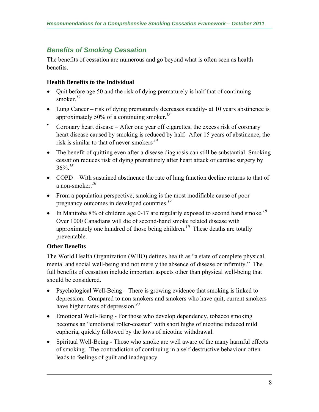## *Benefits of Smoking Cessation*

The benefits of cessation are numerous and go beyond what is often seen as health benefits.

#### **Health Benefits to the Individual**

- Quit before age 50 and the risk of dying prematurely is half that of continuing smoker.*<sup>12</sup>*
- Lung Cancer risk of dying prematurely decreases steadily- at 10 years abstinence is approximately 50% of a continuing smoker.*<sup>13</sup>*
- Coronary heart disease After one year off cigarettes, the excess risk of coronary heart disease caused by smoking is reduced by half. After 15 years of abstinence, the risk is similar to that of never-smokers*.14*
- The benefit of quitting even after a disease diagnosis can still be substantial. Smoking cessation reduces risk of dying prematurely after heart attack or cardiac surgery by 36%.*<sup>15</sup>*
- COPD With sustained abstinence the rate of lung function decline returns to that of a non-smoker.*<sup>16</sup>*
- From a population perspective, smoking is the most modifiable cause of poor pregnancy outcomes in developed countries.*<sup>17</sup>*
- In Manitoba 8% of children age 0-17 are regularly exposed to second hand smoke.*<sup>18</sup>* Over 1000 Canadians will die of second-hand smoke related disease with approximately one hundred of those being children.*<sup>19</sup>* These deaths are totally preventable.

## **Other Benefits**

The World Health Organization (WHO) defines health as "a state of complete physical, mental and social well-being and not merely the absence of disease or infirmity." The full benefits of cessation include important aspects other than physical well-being that should be considered.

- Psychological Well-Being There is growing evidence that smoking is linked to depression. Compared to non smokers and smokers who have quit, current smokers have higher rates of depression.*<sup>20</sup>*
- Emotional Well-Being For those who develop dependency, tobacco smoking becomes an "emotional roller-coaster" with short highs of nicotine induced mild euphoria, quickly followed by the lows of nicotine withdrawal.
- Spiritual Well-Being Those who smoke are well aware of the many harmful effects of smoking. The contradiction of continuing in a self-destructive behaviour often leads to feelings of guilt and inadequacy.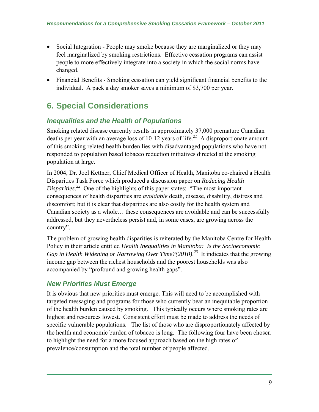- Social Integration People may smoke because they are marginalized or they may feel marginalized by smoking restrictions. Effective cessation programs can assist people to more effectively integrate into a society in which the social norms have changed.
- Financial Benefits Smoking cessation can yield significant financial benefits to the individual. A pack a day smoker saves a minimum of \$3,700 per year.

# **6. Special Considerations**

## *Inequalities and the Health of Populations*

Smoking related disease currently results in approximately 37,000 premature Canadian deaths per year with an average loss of 10-12 years of life.*<sup>21</sup>* A disproportionate amount of this smoking related health burden lies with disadvantaged populations who have not responded to population based tobacco reduction initiatives directed at the smoking population at large.

In 2004, Dr. Joel Kettner, Chief Medical Officer of Health, Manitoba co-chaired a Health Disparities Task Force which produced a discussion paper on *Reducing Health Disparities*. *<sup>22</sup>* One of the highlights of this paper states: "The most important consequences of health disparities are *avoidable* death, disease, disability, distress and discomfort; but it is clear that disparities are also costly for the health system and Canadian society as a whole… these consequences are avoidable and can be successfully addressed, but they nevertheless persist and, in some cases, are growing across the country".

The problem of growing health disparities is reiterated by the Manitoba Centre for Health Policy in their article entitled *Health Inequalities in Manitoba: Is the Socioeconomic Gap in Health Widening or Narrowing Over Time?(2010)*. *23* It indicates that the growing income gap between the richest households and the poorest households was also accompanied by "profound and growing health gaps".

## *New Priorities Must Emerge*

It is obvious that new priorities must emerge. This will need to be accomplished with targeted messaging and programs for those who currently bear an inequitable proportion of the health burden caused by smoking. This typically occurs where smoking rates are highest and resources lowest. Consistent effort must be made to address the needs of specific vulnerable populations. The list of those who are disproportionately affected by the health and economic burden of tobacco is long. The following four have been chosen to highlight the need for a more focused approach based on the high rates of prevalence/consumption and the total number of people affected.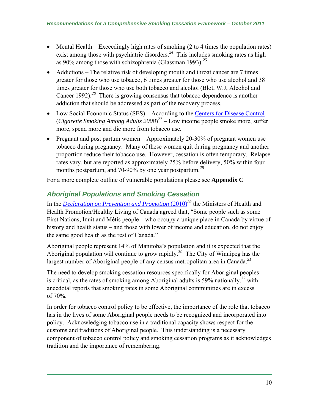- Mental Health Exceedingly high rates of smoking  $(2 \text{ to } 4 \text{ times the population rates})$ exist among those with psychiatric disorders.<sup>24</sup> This includes smoking rates as high as 90% among those with schizophrenia (Glassman 1993).*<sup>25</sup>*
- Addictions The relative risk of developing mouth and throat cancer are 7 times greater for those who use tobacco, 6 times greater for those who use alcohol and 38 times greater for those who use both tobacco and alcohol (Blot, W.J, Alcohol and Cancer 1992).*<sup>26</sup>* There is growing consensus that tobacco dependence is another addiction that should be addressed as part of the recovery process.
- Low Social Economic Status (SES) According to the Centers for Disease Control (*Cigarette Smoking Among Adults 2008*) *<sup>27</sup>* – Low income people smoke more, suffer more, spend more and die more from tobacco use.
- Pregnant and post partum women Approximately 20-30% of pregnant women use tobacco during pregnancy. Many of these women quit during pregnancy and another proportion reduce their tobacco use. However, cessation is often temporary. Relapse rates vary, but are reported as approximately 25% before delivery, 50% within four months postpartum, and 70-90% by one year postpartum.*<sup>28</sup>*

For a more complete outline of vulnerable populations please see **Appendix C** 

## *Aboriginal Populations and Smoking Cessation*

In the *Declaration on Prevention and Promotion* (2010)*<sup>29</sup>* the Ministers of Health and Health Promotion/Healthy Living of Canada agreed that, "Some people such as some First Nations, Inuit and Métis people – who occupy a unique place in Canada by virtue of history and health status – and those with lower of income and education, do not enjoy the same good health as the rest of Canada."

Aboriginal people represent 14% of Manitoba's population and it is expected that the Aboriginal population will continue to grow rapidly.*<sup>30</sup>* The City of Winnipeg has the largest number of Aboriginal people of any census metropolitan area in Canada.*<sup>31</sup>*

The need to develop smoking cessation resources specifically for Aboriginal peoples is critical, as the rates of smoking among Aboriginal adults is 59% nationally,*<sup>32</sup>* with anecdotal reports that smoking rates in some Aboriginal communities are in excess of 70%.

In order for tobacco control policy to be effective, the importance of the role that tobacco has in the lives of some Aboriginal people needs to be recognized and incorporated into policy. Acknowledging tobacco use in a traditional capacity shows respect for the customs and traditions of Aboriginal people. This understanding is a necessary component of tobacco control policy and smoking cessation programs as it acknowledges tradition and the importance of remembering.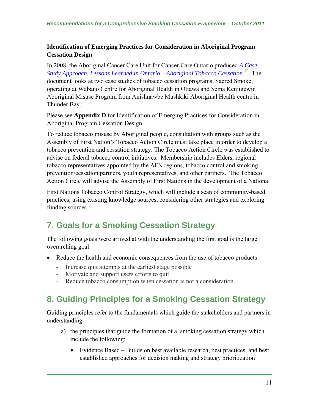#### **Identification of Emerging Practices for Consideration in Aboriginal Program Cessation Design**

In 2008, the Aboriginal Cancer Care Unit for Cancer Care Ontario produced *A Case Study Approach, Lessons Learned in Ontario – Aboriginal Tobacco Cessation*. *<sup>33</sup>* The document looks at two case studies of tobacco cessation programs, Sacred Smoke, operating at Wabano Centre for Aboriginal Health in Ottawa and Sema Kenjigewin Aboriginal Misuse Program from Anishnawbe Mushkiki Aboriginal Health centre in Thunder Bay.

Please see **Appendix D** for Identification of Emerging Practices for Consideration in Aboriginal Program Cessation Design.

To reduce tobacco misuse by Aboriginal people, consultation with groups such as the Assembly of First Nation's Tobacco Action Circle must take place in order to develop a tobacco prevention and cessation strategy. The Tobacco Action Circle was established to advise on federal tobacco control initiatives. Membership includes Elders, regional tobacco representatives appointed by the AFN regions, tobacco control and smoking prevention/cessation partners, youth representatives, and other partners. The Tobacco Action Circle will advise the Assembly of First Nations in the development of a National

First Nations Tobacco Control Strategy, which will include a scan of community-based practices, using existing knowledge sources, considering other strategies and exploring funding sources.

# **7. Goals for a Smoking Cessation Strategy**

The following goals were arrived at with the understanding the first goal is the large overarching goal

- Reduce the health and economic consequences from the use of tobacco products
	- Increase quit attempts at the earliest stage possible
	- Motivate and support users efforts to quit
	- Reduce tobacco consumption when cessation is not a consideration

# **8. Guiding Principles for a Smoking Cessation Strategy**

Guiding principles refer to the fundamentals which guide the stakeholders and partners in understanding

- a) the principles that guide the formation of a smoking cessation strategy which include the following:
	- Evidence Based Builds on best available research, best practices, and best established approaches for decision making and strategy prioritization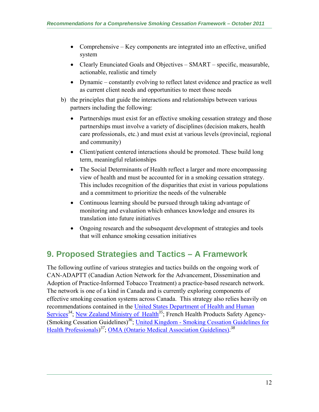- Comprehensive Key components are integrated into an effective, unified system
- Clearly Enunciated Goals and Objectives SMART specific, measurable, actionable, realistic and timely
- Dynamic constantly evolving to reflect latest evidence and practice as well as current client needs and opportunities to meet those needs
- b) the principles that guide the interactions and relationships between various partners including the following:
	- Partnerships must exist for an effective smoking cessation strategy and those partnerships must involve a variety of disciplines (decision makers, health care professionals, etc.) and must exist at various levels (provincial, regional and community)
	- Client/patient centered interactions should be promoted. These build long term, meaningful relationships
	- The Social Determinants of Health reflect a larger and more encompassing view of health and must be accounted for in a smoking cessation strategy. This includes recognition of the disparities that exist in various populations and a commitment to prioritize the needs of the vulnerable
	- Continuous learning should be pursued through taking advantage of monitoring and evaluation which enhances knowledge and ensures its translation into future initiatives
	- Ongoing research and the subsequent development of strategies and tools that will enhance smoking cessation initiatives

# **9. Proposed Strategies and Tactics – A Framework**

The following outline of various strategies and tactics builds on the ongoing work of CAN-ADAPTT (Canadian Action Network for the Advancement, Dissemination and Adoption of Practice-Informed Tobacco Treatment) a practice-based research network. The network is one of a kind in Canada and is currently exploring components of effective smoking cessation systems across Canada. This strategy also relies heavily on recommendations contained in the United States Department of Health and Human Services<sup>34</sup>; New Zealand Ministry of Health<sup>35</sup>; French Health Products Safety Agency-(Smoking Cessation Guidelines)*<sup>36</sup>*; United Kingdom - Smoking Cessation Guidelines for Health Professionals) *<sup>37</sup>*; OMA (Ontario Medical Association Guidelines). *38*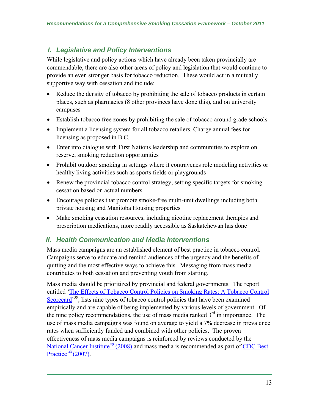## *I. Legislative and Policy Interventions*

While legislative and policy actions which have already been taken provincially are commendable, there are also other areas of policy and legislation that would continue to provide an even stronger basis for tobacco reduction. These would act in a mutually supportive way with cessation and include:

- Reduce the density of tobacco by prohibiting the sale of tobacco products in certain places, such as pharmacies (8 other provinces have done this), and on university campuses
- Establish tobacco free zones by prohibiting the sale of tobacco around grade schools
- Implement a licensing system for all tobacco retailers. Charge annual fees for licensing as proposed in B.C.
- Enter into dialogue with First Nations leadership and communities to explore on reserve, smoking reduction opportunities
- Prohibit outdoor smoking in settings where it contravenes role modeling activities or healthy living activities such as sports fields or playgrounds
- Renew the provincial tobacco control strategy, setting specific targets for smoking cessation based on actual numbers
- Encourage policies that promote smoke-free multi-unit dwellings including both private housing and Manitoba Housing properties
- Make smoking cessation resources, including nicotine replacement therapies and prescription medications, more readily accessible as Saskatchewan has done

## *II. Health Communication and Media Interventions*

Mass media campaigns are an established element of best practice in tobacco control. Campaigns serve to educate and remind audiences of the urgency and the benefits of quitting and the most effective ways to achieve this. Messaging from mass media contributes to both cessation and preventing youth from starting.

Mass media should be prioritized by provincial and federal governments. The report entitled 'The Effects of Tobacco Control Policies on Smoking Rates: A Tobacco Control Scorecard<sup>39</sup>, lists nine types of tobacco control policies that have been examined empirically and are capable of being implemented by various levels of government. Of the nine policy recommendations, the use of mass media ranked  $3<sup>rd</sup>$  in importance. The use of mass media campaigns was found on average to yield a 7% decrease in prevalence rates when sufficiently funded and combined with other policies. The proven effectiveness of mass media campaigns is reinforced by reviews conducted by the National Cancer Institute*<sup>40</sup>* (2008) and mass media is recommended as part of CDC Best Practice *<sup>41</sup>*(2007).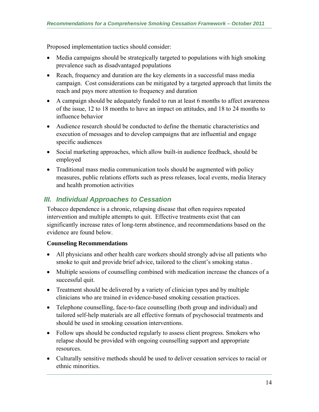Proposed implementation tactics should consider:

- Media campaigns should be strategically targeted to populations with high smoking prevalence such as disadvantaged populations
- Reach, frequency and duration are the key elements in a successful mass media campaign. Cost considerations can be mitigated by a targeted approach that limits the reach and pays more attention to frequency and duration
- A campaign should be adequately funded to run at least 6 months to affect awareness of the issue, 12 to 18 months to have an impact on attitudes, and 18 to 24 months to influence behavior
- Audience research should be conducted to define the thematic characteristics and execution of messages and to develop campaigns that are influential and engage specific audiences
- Social marketing approaches, which allow built-in audience feedback, should be employed
- Traditional mass media communication tools should be augmented with policy measures, public relations efforts such as press releases, local events, media literacy and health promotion activities

## *III. Individual Approaches to Cessation*

Tobacco dependence is a chronic, relapsing disease that often requires repeated intervention and multiple attempts to quit. Effective treatments exist that can significantly increase rates of long-term abstinence, and recommendations based on the evidence are found below.

#### **Counseling Recommendations**

- All physicians and other health care workers should strongly advise all patients who smoke to quit and provide brief advice, tailored to the client's smoking status .
- Multiple sessions of counselling combined with medication increase the chances of a successful quit.
- Treatment should be delivered by a variety of clinician types and by multiple clinicians who are trained in evidence-based smoking cessation practices.
- Telephone counselling, face-to-face counselling (both group and individual) and tailored self-help materials are all effective formats of psychosocial treatments and should be used in smoking cessation interventions.
- Follow ups should be conducted regularly to assess client progress. Smokers who relapse should be provided with ongoing counselling support and appropriate resources.
- Culturally sensitive methods should be used to deliver cessation services to racial or ethnic minorities.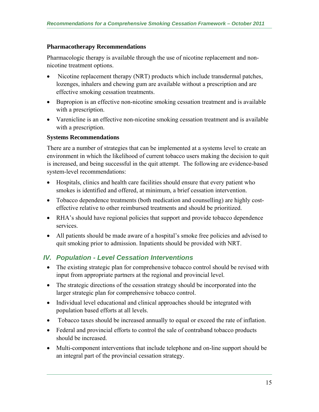#### **Pharmacotherapy Recommendations**

Pharmacologic therapy is available through the use of nicotine replacement and nonnicotine treatment options.

- Nicotine replacement therapy (NRT) products which include transdermal patches, lozenges, inhalers and chewing gum are available without a prescription and are effective smoking cessation treatments.
- Bupropion is an effective non-nicotine smoking cessation treatment and is available with a prescription.
- Varenicline is an effective non-nicotine smoking cessation treatment and is available with a prescription.

#### **Systems Recommendations**

There are a number of strategies that can be implemented at a systems level to create an environment in which the likelihood of current tobacco users making the decision to quit is increased, and being successful in the quit attempt. The following are evidence-based system-level recommendations:

- Hospitals, clinics and health care facilities should ensure that every patient who smokes is identified and offered, at minimum, a brief cessation intervention.
- Tobacco dependence treatments (both medication and counselling) are highly costeffective relative to other reimbursed treatments and should be prioritized.
- RHA's should have regional policies that support and provide tobacco dependence services.
- All patients should be made aware of a hospital's smoke free policies and advised to quit smoking prior to admission. Inpatients should be provided with NRT.

## *IV. Population - Level Cessation Interventions*

- The existing strategic plan for comprehensive tobacco control should be revised with input from appropriate partners at the regional and provincial level.
- The strategic directions of the cessation strategy should be incorporated into the larger strategic plan for comprehensive tobacco control.
- Individual level educational and clinical approaches should be integrated with population based efforts at all levels.
- Tobacco taxes should be increased annually to equal or exceed the rate of inflation.
- Federal and provincial efforts to control the sale of contraband tobacco products should be increased.
- Multi-component interventions that include telephone and on-line support should be an integral part of the provincial cessation strategy.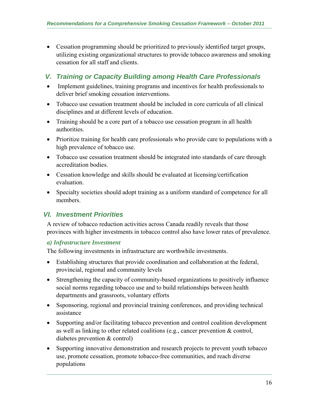Cessation programming should be prioritized to previously identified target groups, utilizing existing organizational structures to provide tobacco awareness and smoking cessation for all staff and clients.

## *V. Training or Capacity Building among Health Care Professionals*

- Implement guidelines, training programs and incentives for health professionals to deliver brief smoking cessation interventions.
- Tobacco use cessation treatment should be included in core curricula of all clinical disciplines and at different levels of education.
- Training should be a core part of a tobacco use cessation program in all health authorities.
- Prioritize training for health care professionals who provide care to populations with a high prevalence of tobacco use.
- Tobacco use cessation treatment should be integrated into standards of care through accreditation bodies.
- Cessation knowledge and skills should be evaluated at licensing/certification evaluation.
- Specialty societies should adopt training as a uniform standard of competence for all members.

## *VI. Investment Priorities*

A review of tobacco reduction activities across Canada readily reveals that those provinces with higher investments in tobacco control also have lower rates of prevalence.

## *a) Infrastructure Investment*

The following investments in infrastructure are worthwhile investments.

- Establishing structures that provide coordination and collaboration at the federal, provincial, regional and community levels
- Strengthening the capacity of community-based organizations to positively influence social norms regarding tobacco use and to build relationships between health departments and grassroots, voluntary efforts
- Ssponsoring, regional and provincial training conferences, and providing technical assistance
- Supporting and/or facilitating tobacco prevention and control coalition development as well as linking to other related coalitions (e.g., cancer prevention & control, diabetes prevention & control)
- Supporting innovative demonstration and research projects to prevent youth tobacco use, promote cessation, promote tobacco-free communities, and reach diverse populations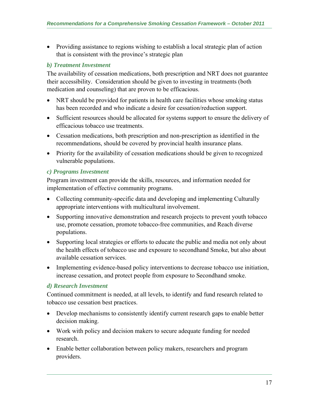Providing assistance to regions wishing to establish a local strategic plan of action that is consistent with the province's strategic plan

#### *b) Treatment Investment*

The availability of cessation medications, both prescription and NRT does not guarantee their accessibility. Consideration should be given to investing in treatments (both medication and counseling) that are proven to be efficacious.

- NRT should be provided for patients in health care facilities whose smoking status has been recorded and who indicate a desire for cessation/reduction support.
- Sufficient resources should be allocated for systems support to ensure the delivery of efficacious tobacco use treatments.
- Cessation medications, both prescription and non-prescription as identified in the recommendations, should be covered by provincial health insurance plans.
- Priority for the availability of cessation medications should be given to recognized vulnerable populations.

#### *c) Programs Investment*

Program investment can provide the skills, resources, and information needed for implementation of effective community programs.

- Collecting community-specific data and developing and implementing Culturally appropriate interventions with multicultural involvement.
- Supporting innovative demonstration and research projects to prevent youth tobacco use, promote cessation, promote tobacco-free communities, and Reach diverse populations.
- Supporting local strategies or efforts to educate the public and media not only about the health effects of tobacco use and exposure to secondhand Smoke, but also about available cessation services.
- Implementing evidence-based policy interventions to decrease tobacco use initiation, increase cessation, and protect people from exposure to Secondhand smoke.

#### *d) Research Investment*

Continued commitment is needed, at all levels, to identify and fund research related to tobacco use cessation best practices.

- Develop mechanisms to consistently identify current research gaps to enable better decision making.
- Work with policy and decision makers to secure adequate funding for needed research.
- Enable better collaboration between policy makers, researchers and program providers.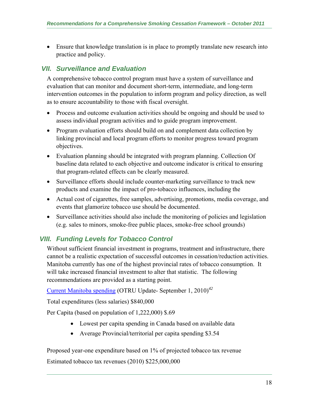Ensure that knowledge translation is in place to promptly translate new research into practice and policy.

## *VII. Surveillance and Evaluation*

A comprehensive tobacco control program must have a system of surveillance and evaluation that can monitor and document short-term, intermediate, and long-term intervention outcomes in the population to inform program and policy direction, as well as to ensure accountability to those with fiscal oversight.

- Process and outcome evaluation activities should be ongoing and should be used to assess individual program activities and to guide program improvement.
- Program evaluation efforts should build on and complement data collection by linking provincial and local program efforts to monitor progress toward program objectives.
- Evaluation planning should be integrated with program planning. Collection Of baseline data related to each objective and outcome indicator is critical to ensuring that program-related effects can be clearly measured.
- Surveillance efforts should include counter-marketing surveillance to track new products and examine the impact of pro-tobacco influences, including the
- Actual cost of cigarettes, free samples, advertising, promotions, media coverage, and events that glamorize tobacco use should be documented.
- Surveillance activities should also include the monitoring of policies and legislation (e.g. sales to minors, smoke-free public places, smoke-free school grounds)

## *VIII. Funding Levels for Tobacco Control*

Without sufficient financial investment in programs, treatment and infrastructure, there cannot be a realistic expectation of successful outcomes in cessation/reduction activities. Manitoba currently has one of the highest provincial rates of tobacco consumption. It will take increased financial investment to alter that statistic. The following recommendations are provided as a starting point.

Current Manitoba spending (OTRU Update- September 1, 2010)*<sup>42</sup>*

Total expenditures (less salaries) \$840,000

Per Capita (based on population of 1,222,000) \$.69

- Lowest per capita spending in Canada based on available data
- Average Provincial/territorial per capita spending \$3.54

Proposed year-one expenditure based on 1% of projected tobacco tax revenue Estimated tobacco tax revenues (2010) \$225,000,000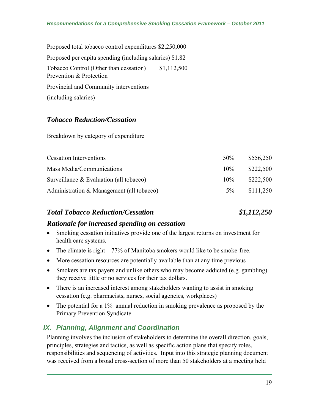| Proposed total tobacco control expenditures \$2,250,000           |             |
|-------------------------------------------------------------------|-------------|
| Proposed per capita spending (including salaries) \$1.82          |             |
| Tobacco Control (Other than cessation)<br>Prevention & Protection | \$1,112,500 |
| Provincial and Community interventions                            |             |
| (including salaries)                                              |             |

## *Tobacco Reduction/Cessation*

Breakdown by category of expenditure

| <b>Cessation Interventions</b>             | $50\%$ | \$556,250 |
|--------------------------------------------|--------|-----------|
| Mass Media/Communications                  | $10\%$ | \$222,500 |
| Surveillance $& Evaluation (all to bacco)$ | $10\%$ | \$222,500 |
| Administration & Management (all tobacco)  | $5\%$  | \$111,250 |

#### *Total Tobacco Reduction/Cessation \$1,112,250*

## *Rationale for increased spending on cessation*

- Smoking cessation initiatives provide one of the largest returns on investment for health care systems.
- The climate is right  $-77\%$  of Manitoba smokers would like to be smoke-free.
- More cessation resources are potentially available than at any time previous
- Smokers are tax payers and unlike others who may become addicted (e.g. gambling) they receive little or no services for their tax dollars.
- There is an increased interest among stakeholders wanting to assist in smoking cessation (e.g. pharmacists, nurses, social agencies, workplaces)
- The potential for a 1% annual reduction in smoking prevalence as proposed by the Primary Prevention Syndicate

## *IX. Planning, Alignment and Coordination*

Planning involves the inclusion of stakeholders to determine the overall direction, goals, principles, strategies and tactics, as well as specific action plans that specify roles, responsibilities and sequencing of activities. Input into this strategic planning document was received from a broad cross-section of more than 50 stakeholders at a meeting held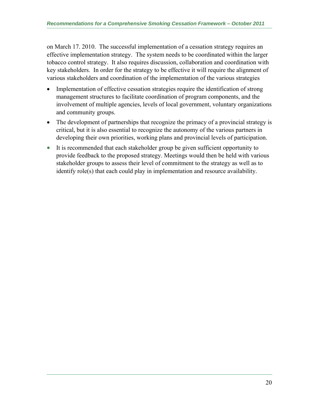on March 17. 2010. The successful implementation of a cessation strategy requires an effective implementation strategy. The system needs to be coordinated within the larger tobacco control strategy. It also requires discussion, collaboration and coordination with key stakeholders. In order for the strategy to be effective it will require the alignment of various stakeholders and coordination of the implementation of the various strategies

- Implementation of effective cessation strategies require the identification of strong management structures to facilitate coordination of program components, and the involvement of multiple agencies, levels of local government, voluntary organizations and community groups.
- The development of partnerships that recognize the primacy of a provincial strategy is critical, but it is also essential to recognize the autonomy of the various partners in developing their own priorities, working plans and provincial levels of participation.
- It is recommended that each stakeholder group be given sufficient opportunity to provide feedback to the proposed strategy. Meetings would then be held with various stakeholder groups to assess their level of commitment to the strategy as well as to identify role(s) that each could play in implementation and resource availability.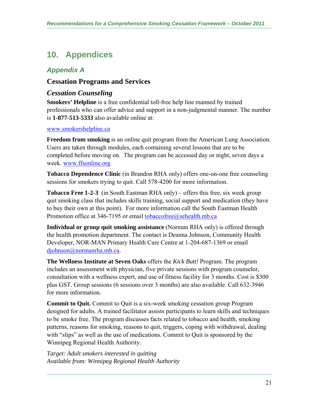# **10. Appendices**

## *Appendix A*

## **Cessation Programs and Services**

## *Cessation Counseling*

**Smokers' Helpline** is a free confidential toll-free help line manned by trained professionals who can offer advice and support in a non-judgmental manner. The number is **1-877-513-5333** also available online at:

#### www.smokershelpline.ca

**Freedom from smoking** is an online quit program from the American Lung Association. Users are taken through modules, each containing several lessons that are to be completed before moving on. The program can be accessed day or night, seven days a week. www.ffsonline.org

**Tobacco Dependence Clinic** (in Brandon RHA only) offers one-on-one free counseling sessions for smokers trying to quit. Call 578-4200 for more information.

**Tobacco Free 1-2-3** (in South Eastman RHA only) – offers this free, six week group quit smoking class that includes skills training, social support and medication (they have to buy their own at this point). For more information call the South Eastman Health Promotion office at 346-7195 or email tobaccofree@sehealth.mb.ca

**Individual or group quit smoking assistance** (Norman RHA only) is offered through the health promotion department. The contact is Deanna Johnson, Community Health Developer, NOR-MAN Primary Health Care Centre at 1-204-687-1369 or email djohnson@normanrha.mb.ca.

**The Wellness Institute at Seven Oaks** offers the *Kick Butt!* Program. The program includes an assessment with physician, five private sessions with program counselor, consultation with a wellness expert, and use of fitness facility for 3 months. Cost is \$300 plus GST. Group sessions (6 sessions over 3 months) are also available. Call 632-3946 for more information.

**Commit to Quit.** Commit to Quit is a six-week smoking cessation group Program designed for adults. A trained facilitator assists participants to learn skills and techniques to be smoke free. The program discusses facts related to tobacco and health, smoking patterns, reasons for smoking, reasons to quit, triggers, coping with withdrawal, dealing with "slips" as well as the use of medications. Commit to Quit is sponsored by the Winnipeg Regional Health Authority.

*Target: Adult smokers interested in quitting Available from: Winnipeg Regional Health Authority*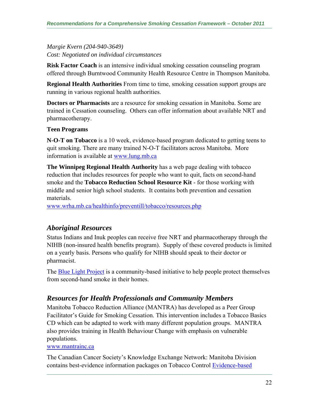*Margie Kvern (204-940-3649) Cost: Negotiated on individual circumstances* 

**Risk Factor Coach** is an intensive individual smoking cessation counseling program offered through Burntwood Community Health Resource Centre in Thompson Manitoba.

**Regional Health Authorities** From time to time, smoking cessation support groups are running in various regional health authorities.

**Doctors or Pharmacists** are a resource for smoking cessation in Manitoba. Some are trained in Cessation counseling. Others can offer information about available NRT and pharmacotherapy.

#### **Teen Programs**

**N-O-T on Tobacco** is a 10 week, evidence-based program dedicated to getting teens to quit smoking. There are many trained N-O-T facilitators across Manitoba. More information is available at www.lung.mb.ca

**The Winnipeg Regional Health Authority** has a web page dealing with tobacco reduction that includes resources for people who want to quit, facts on second-hand smoke and the **Tobacco Reduction School Resource Kit** - for those working with middle and senior high school students. It contains both prevention and cessation materials.

www.wrha.mb.ca/healthinfo/preventill/tobacco/resources.php

## *Aboriginal Resources*

Status Indians and Inuk peoples can receive free NRT and pharmacotherapy through the NIHB (non-insured health benefits program). Supply of these covered products is limited on a yearly basis. Persons who qualify for NIHB should speak to their doctor or pharmacist.

The Blue Light Project is a community-based initiative to help people protect themselves from second-hand smoke in their homes.

## *Resources for Health Professionals and Community Members*

Manitoba Tobacco Reduction Alliance (MANTRA) has developed as a Peer Group Facilitator's Guide for Smoking Cessation. This intervention includes a Tobacco Basics CD which can be adapted to work with many different population groups. MANTRA also provides training in Health Behaviour Change with emphasis on vulnerable populations.

#### www.mantrainc.ca

The Canadian Cancer Society's Knowledge Exchange Network: Manitoba Division contains best-evidence information packages on Tobacco Control Evidence-based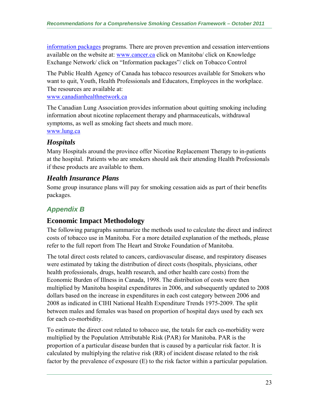information packages programs. There are proven prevention and cessation interventions available on the website at: www.cancer.ca click on Manitoba/ click on Knowledge Exchange Network/ click on "Information packages"/ click on Tobacco Control

The Public Health Agency of Canada has tobacco resources available for Smokers who want to quit, Youth, Health Professionals and Educators, Employees in the workplace. The resources are available at:

www.canadianhealthnetwork.ca

The Canadian Lung Association provides information about quitting smoking including information about nicotine replacement therapy and pharmaceuticals, withdrawal symptoms, as well as smoking fact sheets and much more. www.lung.ca

## *Hospitals*

Many Hospitals around the province offer Nicotine Replacement Therapy to in-patients at the hospital. Patients who are smokers should ask their attending Health Professionals if these products are available to them.

## *Health Insurance Plans*

Some group insurance plans will pay for smoking cessation aids as part of their benefits packages.

## *Appendix B*

## **Economic Impact Methodology**

The following paragraphs summarize the methods used to calculate the direct and indirect costs of tobacco use in Manitoba. For a more detailed explanation of the methods, please refer to the full report from The Heart and Stroke Foundation of Manitoba.

The total direct costs related to cancers, cardiovascular disease, and respiratory diseases were estimated by taking the distribution of direct costs (hospitals, physicians, other health professionals, drugs, health research, and other health care costs) from the Economic Burden of Illness in Canada, 1998. The distribution of costs were then multiplied by Manitoba hospital expenditures in 2006, and subsequently updated to 2008 dollars based on the increase in expenditures in each cost category between 2006 and 2008 as indicated in CIHI National Health Expenditure Trends 1975-2009. The split between males and females was based on proportion of hospital days used by each sex for each co-morbidity.

To estimate the direct cost related to tobacco use, the totals for each co-morbidity were multiplied by the Population Attributable Risk (PAR) for Manitoba. PAR is the proportion of a particular disease burden that is caused by a particular risk factor. It is calculated by multiplying the relative risk (RR) of incident disease related to the risk factor by the prevalence of exposure (E) to the risk factor within a particular population.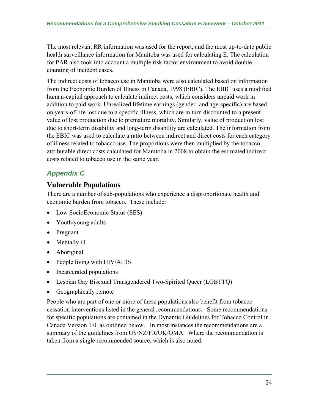The most relevant RR information was used for the report, and the most up-to-date public health surveillance information for Manitoba was used for calculating E. The calculation for PAR also took into account a multiple risk factor environment to avoid doublecounting of incident cases.

The indirect costs of tobacco use in Manitoba were also calculated based on information from the Economic Burden of Illness in Canada, 1998 (EBIC). The EBIC uses a modified human-capital approach to calculate indirect costs, which considers unpaid work in addition to paid work. Unrealized lifetime earnings (gender- and age-specific) are based on years-of-life lost due to a specific illness, which are in turn discounted to a present value of lost production due to premature mortality. Similarly, value of production lost due to short-term disability and long-term disability are calculated. The information from the EBIC was used to calculate a ratio between indirect and direct costs for each category of illness related to tobacco use. The proportions were then multiplied by the tobaccoattributable direct costs calculated for Manitoba in 2008 to obtain the estimated indirect costs related to tobacco use in the same year.

## *Appendix C*

## **Vulnerable Populations**

There are a number of sub-populations who experience a disproportionate health and economic burden from tobacco. These include:

- Low SocioEconomic Status (SES)
- Youth/young adults
- Pregnant
- Mentally ill
- Aboriginal
- People living with HIV/AIDS
- Incarcerated populations
- Lesbian Gay Bisexual Transgendered Two-Spirited Queer (LGBTTQ)
- Geographically remote

People who are part of one or more of these populations also benefit from tobacco cessation interventions listed in the general recommendations. Some recommendations for specific populations are contained in the Dynamic Guidelines for Tobacco Control in Canada Version 1.0. as outlined below. In most instances the recommendations are a summary of the guidelines from US/NZ/FR/UK/OMA. Where the recommendation is taken from a single recommended source, which is also noted.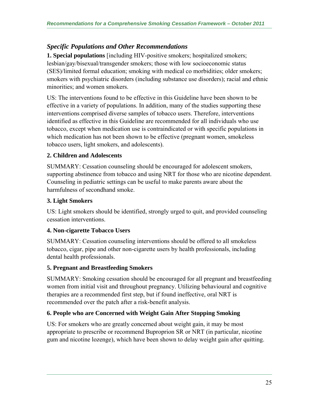## *Specific Populations and Other Recommendations*

**1. Special populations** [including HIV-positive smokers; hospitalized smokers; lesbian/gay/bisexual/transgender smokers; those with low socioeconomic status (SES)/limited formal education; smoking with medical co morbidities; older smokers; smokers with psychiatric disorders (including substance use disorders); racial and ethnic minorities; and women smokers.

US: The interventions found to be effective in this Guideline have been shown to be effective in a variety of populations. In addition, many of the studies supporting these interventions comprised diverse samples of tobacco users. Therefore, interventions identified as effective in this Guideline are recommended for all individuals who use tobacco, except when medication use is contraindicated or with specific populations in which medication has not been shown to be effective (pregnant women, smokeless tobacco users, light smokers, and adolescents).

#### **2. Children and Adolescents**

SUMMARY: Cessation counseling should be encouraged for adolescent smokers, supporting abstinence from tobacco and using NRT for those who are nicotine dependent. Counseling in pediatric settings can be useful to make parents aware about the harmfulness of secondhand smoke.

#### **3. Light Smokers**

US: Light smokers should be identified, strongly urged to quit, and provided counseling cessation interventions.

#### **4. Non-cigarette Tobacco Users**

SUMMARY: Cessation counseling interventions should be offered to all smokeless tobacco, cigar, pipe and other non-cigarette users by health professionals, including dental health professionals.

#### **5. Pregnant and Breastfeeding Smokers**

SUMMARY: Smoking cessation should be encouraged for all pregnant and breastfeeding women from initial visit and throughout pregnancy. Utilizing behavioural and cognitive therapies are a recommended first step, but if found ineffective, oral NRT is recommended over the patch after a risk-benefit analysis.

## **6. People who are Concerned with Weight Gain After Stopping Smoking**

US: For smokers who are greatly concerned about weight gain, it may be most appropriate to prescribe or recommend Buproprion SR or NRT (in particular, nicotine gum and nicotine lozenge), which have been shown to delay weight gain after quitting.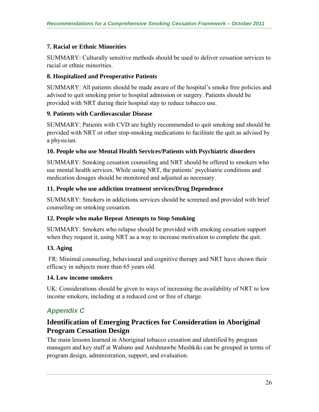## **7. Racial or Ethnic Minorities**

SUMMARY: Culturally sensitive methods should be used to deliver cessation services to racial or ethnic minorities.

#### **8. Hospitalized and Preoperative Patients**

SUMMARY: All patients should be made aware of the hospital's smoke free policies and advised to quit smoking prior to hospital admission or surgery. Patients should be provided with NRT during their hospital stay to reduce tobacco use.

#### **9. Patients with Cardiovascular Disease**

SUMMARY: Patients with CVD are highly recommended to quit smoking and should be provided with NRT or other stop-smoking medications to facilitate the quit as advised by a physician.

#### **10. People who use Mental Health Services/Patients with Psychiatric disorders**

SUMMARY: Smoking cessation counseling and NRT should be offered to smokers who use mental health services. While using NRT, the patients' psychiatric conditions and medication dosages should be monitored and adjusted as necessary.

#### **11. People who use addiction treatment services/Drug Dependence**

SUMMARY: Smokers in addictions services should be screened and provided with brief counseling on smoking cessation.

## **12. People who make Repeat Attempts to Stop Smoking**

SUMMARY: Smokers who relapse should be provided with smoking cessation support when they request it, using NRT as a way to increase motivation to complete the quit.

## **13. Aging**

 FR: Minimal counseling, behavioural and cognitive therapy and NRT have shown their efficacy in subjects more than 65 years old.

#### **14. Low income smokers**

UK: Considerations should be given to ways of increasing the availability of NRT to low income smokers, including at a reduced cost or free of charge.

## *Appendix C*

## **Identification of Emerging Practices for Consideration in Aboriginal Program Cessation Design**

The main lessons learned in Aboriginal tobacco cessation and identified by program managers and key staff at Wabano and Anishnawbe Mushkiki can be grouped in terms of program design, administration, support, and evaluation.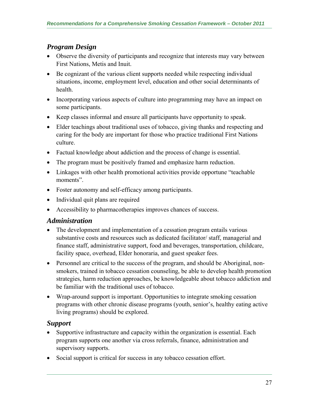## *Program Design*

- Observe the diversity of participants and recognize that interests may vary between First Nations, Metis and Inuit.
- Be cognizant of the various client supports needed while respecting individual situations, income, employment level, education and other social determinants of health.
- Incorporating various aspects of culture into programming may have an impact on some participants.
- Keep classes informal and ensure all participants have opportunity to speak.
- Elder teachings about traditional uses of tobacco, giving thanks and respecting and caring for the body are important for those who practice traditional First Nations culture.
- Factual knowledge about addiction and the process of change is essential.
- The program must be positively framed and emphasize harm reduction.
- Linkages with other health promotional activities provide opportune "teachable moments".
- Foster autonomy and self-efficacy among participants.
- Individual quit plans are required
- Accessibility to pharmacotherapies improves chances of success.

## *Administration*

- The development and implementation of a cessation program entails various substantive costs and resources such as dedicated facilitator/ staff, managerial and finance staff, administrative support, food and beverages, transportation, childcare, facility space, overhead, Elder honoraria, and guest speaker fees.
- Personnel are critical to the success of the program, and should be Aboriginal, nonsmokers, trained in tobacco cessation counseling, be able to develop health promotion strategies, harm reduction approaches, be knowledgeable about tobacco addiction and be familiar with the traditional uses of tobacco.
- Wrap-around support is important. Opportunities to integrate smoking cessation programs with other chronic disease programs (youth, senior's, healthy eating active living programs) should be explored.

## *Support*

- Supportive infrastructure and capacity within the organization is essential. Each program supports one another via cross referrals, finance, administration and supervisory supports.
- Social support is critical for success in any tobacco cessation effort.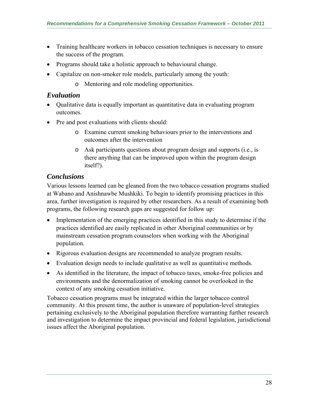- Training healthcare workers in tobacco cessation techniques is necessary to ensure the success of the program.
- Programs should take a holistic approach to behavioural change.
- Capitalize on non-smoker role models, particularly among the youth:
	- o Mentoring and role modeling opportunities.

## *Evaluation*

- Qualitative data is equally important as quantitative data in evaluating program outcomes.
- Pre and post evaluations with clients should:
	- o Examine current smoking behaviours prior to the interventions and outcomes after the intervention
	- o Ask participants questions about program design and supports (i.e., is there anything that can be improved upon within the program design itself?).

## *Conclusions*

Various lessons learned can be gleaned from the two tobacco cessation programs studied at Wabano and Anishnawbe Mushkiki. To begin to identify promising practices in this area, further investigation is required by other researchers. As a result of examining both programs, the following research gaps are suggested for follow up:

- Implementation of the emerging practices identified in this study to determine if the practices identified are easily replicated in other Aboriginal communities or by mainstream cessation program counselors when working with the Aboriginal population.
- Rigorous evaluation designs are recommended to analyze program results.
- Evaluation design needs to include qualitative as well as quantitative methods.
- As identified in the literature, the impact of tobacco taxes, smoke-free policies and environments and the denormalization of smoking cannot be overlooked in the context of any smoking cessation initiative.

Tobacco cessation programs must be integrated within the larger tobacco control community. At this present time, the author is unaware of population-level strategies pertaining exclusively to the Aboriginal population therefore warranting further research and investigation to determine the impact provincial and federal legislation, jurisdictional issues affect the Aboriginal population.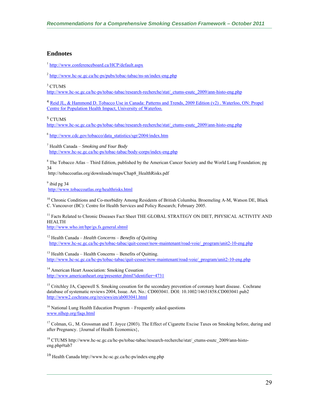#### **Endnotes**

<sup>1</sup> http://www.conferenceboard.ca/HCP/default.aspx

 $^{2}$  http://www.hc-sc.gc.ca/hc-ps/pubs/tobac-tabac/ns-sn/index-eng.php

3 CTUMS

http://www.hc-sc.gc.ca/hc-ps/tobac-tabac/research-recherche/stat/\_ctums-esutc\_2009/ann-histo-eng.php

<sup>4</sup> Reid JL, & Hammond D. Tobacco Use in Canada: Patterns and Trends, 2009 Edition (v2). Waterloo, ON: Propel Centre for Population Health Impact, University of Waterloo.

5 CTUMS

http://www.hc-sc.gc.ca/hc-ps/tobac-tabac/research-recherche/stat/\_ctums-esutc\_2009/ann-histo-eng.php

<sup>6</sup> http://www.cdc.gov/tobacco/data\_statistics/sgr/2004/index.htm

7 Health Canada – *Smoking and Your Body* http://www.hc-sc.gc.ca/hc-ps/tobac-tabac/body-corps/index-eng.php

<sup>8</sup> The Tobacco Atlas – Third Edition, published by the American Cancer Society and the World Lung Foundation; pg 34

http://tobaccoatlas.org/downloads/maps/Chap8\_HealthRisks.pdf

 $9$  ibid pg 34 http://www.tobaccoatlas.org/healthrisks.html

<sup>10</sup> Chronic Conditions and Co-morbidity Among Residents of British Columbia. Broemeling A-M, Watson DE, Black C. Vancouver (BC): Centre for Health Services and Policy Research; February 2005.

<sup>11</sup> Facts Related to Chronic Diseases Fact Sheet THE GLOBAL STRATEGY ON DIET, PHYSICAL ACTIVITY AND HEALTH

http://www.who.int/hpr/gs.fs.general.shtml

12 Health Canada – *Health Concerns* – *Benefits of Quitting* http://www.hc-sc.gc.ca/hc-ps/tobac-tabac/quit-cesser/now-maintenant/road-voie/\_program/unit2-10-eng.php

13 Health Canada – Health Concerns – Benefits of Quitting. http://www.hc-sc.gc.ca/hc-ps/tobac-tabac/quit-cesser/now-maintenant/road-voie/\_program/unit2-10-eng.php

<sup>14</sup> American Heart Association: Smoking Cessation http://www.americanheart.org/presenter.jhtml?identifier=4731

<sup>15</sup> Critchley JA, Capewell S. Smoking cessation for the secondary prevention of coronary heart disease. Cochrane database of systematic reviews 2004, Issue. Art. No.: CD003041. DOI: 10.1002/14651858.CD003041.pub2 http://www2.cochrane.org/reviews/en/ab003041.html

<sup>16</sup> National Lung Health Education Program – Frequently asked questions www.nlhep.org/faqs.html

<sup>17</sup> Colman, G., M. Grossman and T. Joyce (2003). The Effect of Cigarette Excise Taxes on Smoking before, during and after Pregnancy. {Journal of Health Economics},

18 CTUMS http://www.hc-sc.gc.ca/hc-ps/tobac-tabac/research-recherche/stat/\_ctums-esutc\_2009/ann-histoeng.php#tab7

<sup>19</sup> Health Canada http://www.hc-sc.gc.ca/hc-ps/index-eng.php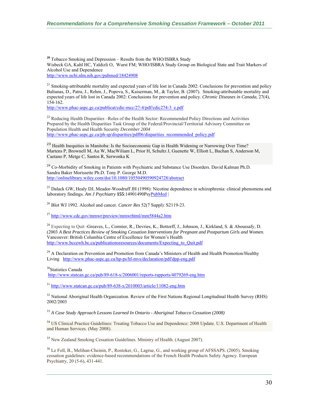**<sup>20</sup>** Tobacco Smoking and Depression – Results from the WHO/ISBRA Study Wisbeck GA, Kuhl HC, Yaldizli O, Wurst FM; WHO/ISBRA Study Group on Biological State and Trait Markers of Alcohol Use and Dependence http://www.ncbi.nlm.nih.gov/pubmed/18424908

<sup>21</sup> Smoking-attributable mortality and expected years of life lost in Canada 2002: Conclusions for prevention and policy Baliunas, D., Patra, J., Rehm, J., Popova, S., Kaiserman, M., & Taylor, B. (2007). Smoking-attributable mortality and expected years of life lost in Canada 2002: Conclusions for prevention and policy. *Chronic Diseases in Canada*, 27(4), 154-162.

http://www.phac-aspc.gc.ca/publicat/cdic-mcc/27-4/pdf/cdic274-3\_e.ndf

 $^{22}$  Reducing Health Disparities –Roles of the Health Sector: Recommended Policy Directions and Activities Prepared by the Health Disparities Task Group of the Federal/Provincial/Territorial Advisory Committee on Population Health and Health Security *December 2004*  http://www.phac-aspc.gc.ca/ph-sp/disparities/pdf06/disparities\_recommended\_policy.pdf

<sup>23</sup> Health Inequities in Manitoba: Is the Socioeconomic Gap in Health Widening or Narrowing Over Time? Martens P, Brownell M, Au W, MacWiliam L, Prior H, Schultz J, Guenette W, Elliott L, Buchan S, Anderson M, Caetano P, Metge C, Santos R, Serwonka K

<sup>24</sup> Co-Morbidity of Smoking in Patients with Psychiatric and Substance Use Disorders. David Kalman Ph.D. Sandra Baker Morissette Ph.D. Tony P. George M.D. http://onlinelibrary.wiley.com/doi/10.1080/10550490590924728/abstract

<sup>25</sup> Dalack GW, Healy DJ, Meador-Woodruff JH (1998): Nicotine dependence in schizophrenia: clinical phenomena and laboratory findings. *Am J Psychiatry* **155**:14901490PsyPubMed |

26 Blot WJ 1992. Alcohol and cancer. *Cancer Res* 52(7 Suppl): S2119-23.

 $^{27}$  http://www.cdc.gov/mmwr/preview/mmwrhtml/mm5844a2.htm

<sup>28</sup> Expecting to Quit -Greaves, L., Cormier, R., Devries, K., Bottorff, J., Johnson, J., Kirkland, S. & Aboussafy, D. (2003 *A Best Practices Review of Smoking Cessation Interventions for Pregnant and Postpartum Girls and Women*. Vancouver: British Columbia Centre of Excellence for Women's Health http://www.bccewh.bc.ca/publicationsresources/documents/Expecting to Quit.pdf

<sup>29</sup> A Declaration on Prevention and Promotion from Canada's Ministers of Health and Health Promotion/Healthy Living http://www.phac-aspc.gc.ca/hp-ps/hl-mvs/declaration/pdf/dpp-eng.pdf

<sup>30</sup>Statistics Canada

http://www.statcan.gc.ca/pub/89-618-x/2006001/reports-rapports/4079269-eng.htm

 $31$  http://www.statcan.gc.ca/pub/89-638-x/2010003/article/11082-eng.htm

 $32$  National Aboriginal Health Organization. Review of the First Nations Regional Longitudinal Health Survey (RHS) 2002/2003

<sup>33</sup> *A Case Study Approach Lessons Learned In Ontario - Aboriginal Tobacco Cessation (2008)* 

<sup>34</sup> US Clinical Practice Guidelines: Treating Tobacco Use and Dependence: 2008 Update. U.S. Department of Health and Human Services. (May 2008).

 $35$  New Zealand Smoking Cessation Guidelines. Ministry of Health. (August 2007).

<sup>36</sup> Le Foll, B., Melihan-Cheinin, P., Rostoker, G., Lagrue, G., and working group of AFSSAPS. (2005). Smoking cessation guidelines: evidence-based recommendations of the French Health Products Safety Agency. European Psychiatry, 20 (5-6), 431-441.